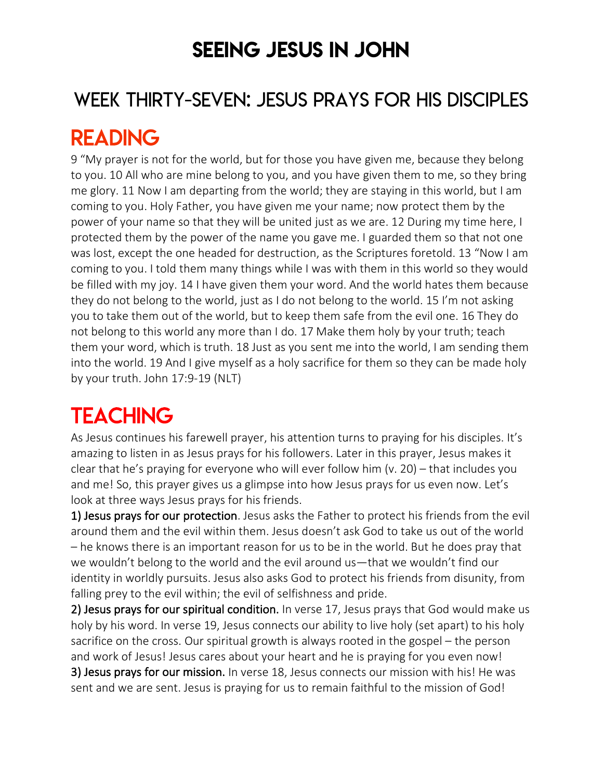## SEEING JESUS IN JOHN

### WEEK THIRTY-SEVEN: JESUS PRAYS FOR HIS DISCIPLES

## READING

9 "My prayer is not for the world, but for those you have given me, because they belong to you. 10 All who are mine belong to you, and you have given them to me, so they bring me glory. 11 Now I am departing from the world; they are staying in this world, but I am coming to you. Holy Father, you have given me your name; now protect them by the power of your name so that they will be united just as we are. 12 During my time here, I protected them by the power of the name you gave me. I guarded them so that not one was lost, except the one headed for destruction, as the Scriptures foretold. 13 "Now I am coming to you. I told them many things while I was with them in this world so they would be filled with my joy. 14 I have given them your word. And the world hates them because they do not belong to the world, just as I do not belong to the world. 15 I'm not asking you to take them out of the world, but to keep them safe from the evil one. 16 They do not belong to this world any more than I do. 17 Make them holy by your truth; teach them your word, which is truth. 18 Just as you sent me into the world, I am sending them into the world. 19 And I give myself as a holy sacrifice for them so they can be made holy by your truth. John 17:9-19 (NLT)

# **TEACHING**

As Jesus continues his farewell prayer, his attention turns to praying for his disciples. It's amazing to listen in as Jesus prays for his followers. Later in this prayer, Jesus makes it clear that he's praying for everyone who will ever follow him (v. 20) – that includes you and me! So, this prayer gives us a glimpse into how Jesus prays for us even now. Let's look at three ways Jesus prays for his friends.

1) Jesus prays for our protection. Jesus asks the Father to protect his friends from the evil around them and the evil within them. Jesus doesn't ask God to take us out of the world – he knows there is an important reason for us to be in the world. But he does pray that we wouldn't belong to the world and the evil around us—that we wouldn't find our identity in worldly pursuits. Jesus also asks God to protect his friends from disunity, from falling prey to the evil within; the evil of selfishness and pride.

2) Jesus prays for our spiritual condition. In verse 17, Jesus prays that God would make us holy by his word. In verse 19, Jesus connects our ability to live holy (set apart) to his holy sacrifice on the cross. Our spiritual growth is always rooted in the gospel – the person and work of Jesus! Jesus cares about your heart and he is praying for you even now! 3) Jesus prays for our mission. In verse 18, Jesus connects our mission with his! He was sent and we are sent. Jesus is praying for us to remain faithful to the mission of God!